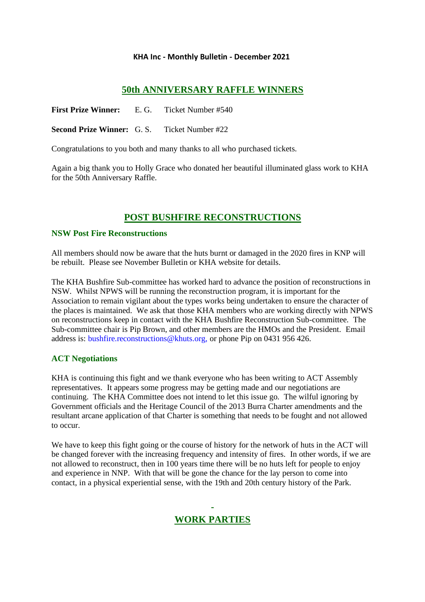## **KHA Inc - Monthly Bulletin - December 2021**

## **50th ANNIVERSARY RAFFLE WINNERS**

**First Prize Winner:** E. G. Ticket Number #540

**Second Prize Winner:** G. S. Ticket Number #22

Congratulations to you both and many thanks to all who purchased tickets.

Again a big thank you to Holly Grace who donated her beautiful illuminated glass work to KHA for the 50th Anniversary Raffle.

# **POST BUSHFIRE RECONSTRUCTIONS**

## **NSW Post Fire Reconstructions**

All members should now be aware that the huts burnt or damaged in the 2020 fires in KNP will be rebuilt. Please see November Bulletin or KHA website for details.

The KHA Bushfire Sub-committee has worked hard to advance the position of reconstructions in NSW. Whilst NPWS will be running the reconstruction program, it is important for the Association to remain vigilant about the types works being undertaken to ensure the character of the places is maintained. We ask that those KHA members who are working directly with NPWS on reconstructions keep in contact with the KHA Bushfire Reconstruction Sub-committee. The Sub-committee chair is Pip Brown, and other members are the HMOs and the President. Email address is: [bushfire.reconstructions@khuts.org,](mailto:bushfire.reconstructions@khuts.org,) or phone Pip on 0431 956 426.

## **ACT Negotiations**

KHA is continuing this fight and we thank everyone who has been writing to ACT Assembly representatives. It appears some progress may be getting made and our negotiations are continuing. The KHA Committee does not intend to let this issue go. The wilful ignoring by Government officials and the Heritage Council of the 2013 Burra Charter amendments and the resultant arcane application of that Charter is something that needs to be fought and not allowed to occur.

We have to keep this fight going or the course of history for the network of huts in the ACT will be changed forever with the increasing frequency and intensity of fires. In other words, if we are not allowed to reconstruct, then in 100 years time there will be no huts left for people to enjoy and experience in NNP. With that will be gone the chance for the lay person to come into contact, in a physical experiential sense, with the 19th and 20th century history of the Park.

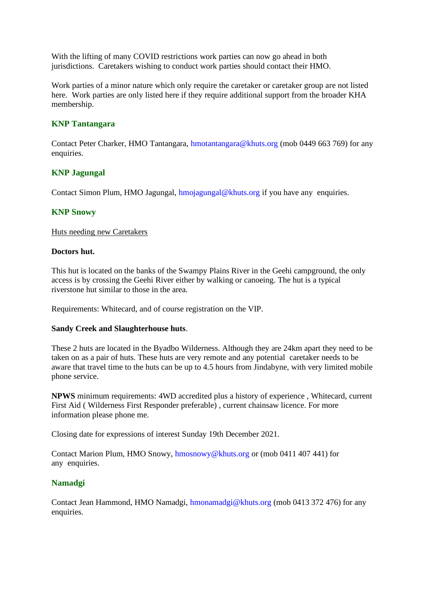With the lifting of many COVID restrictions work parties can now go ahead in both jurisdictions. Caretakers wishing to conduct work parties should contact their HMO.

Work parties of a minor nature which only require the caretaker or caretaker group are not listed here. Work parties are only listed here if they require additional support from the broader KHA membership.

## **KNP Tantangara**

Contact Peter Charker, HMO Tantangara, [hmotantangara@khuts.org](mailto:hmotantangara@khuts.org) (mob 0449 663 769) for any enquiries.

#### **KNP Jagungal**

Contact Simon Plum, HMO Jagungal, [hmojagungal@khuts.org](mailto:hmojagungal@khuts.org) if you have any enquiries.

#### **KNP Snowy**

Huts needing new Caretakers

#### **Doctors hut.**

This hut is located on the banks of the Swampy Plains River in the Geehi campground, the only access is by crossing the Geehi River either by walking or canoeing. The hut is a typical riverstone hut similar to those in the area.

Requirements: Whitecard, and of course registration on the VIP.

#### **Sandy Creek and Slaughterhouse huts**.

These 2 huts are located in the Byadbo Wilderness. Although they are 24km apart they need to be taken on as a pair of huts. These huts are very remote and any potential caretaker needs to be aware that travel time to the huts can be up to 4.5 hours from Jindabyne, with very limited mobile phone service.

**NPWS** minimum requirements: 4WD accredited plus a history of experience , Whitecard, current First Aid ( Wilderness First Responder preferable) , current chainsaw licence. For more information please phone me.

Closing date for expressions of interest Sunday 19th December 2021.

Contact Marion Plum, HMO Snowy, [hmosnowy@khuts.org](mailto:hmosnowy@khuts.org) or (mob 0411 407 441) for any enquiries.

## **Namadgi**

Contact Jean Hammond, HMO Namadgi, [hmonamadgi@khuts.org](mailto:hmonamadgi@khuts.org) (mob 0413 372 476) for any enquiries.